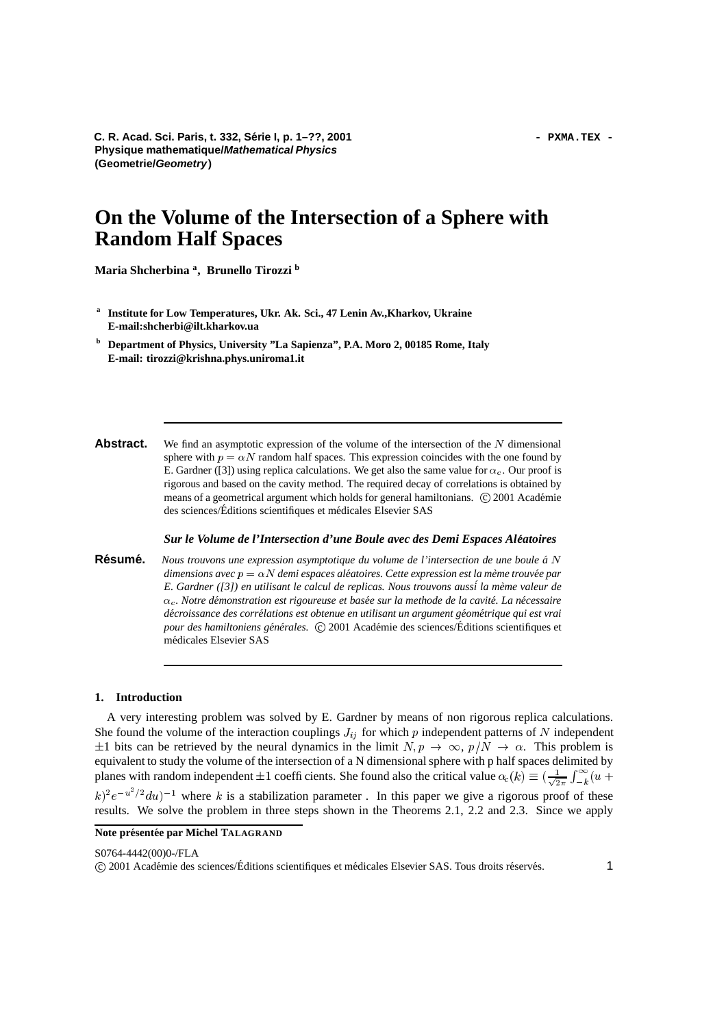# **On the Volume of the Intersection of a Sphere with Random Half Spaces**

**Maria Shcherbina <sup>a</sup> , Brunello Tirozzi <sup>b</sup>**

- **a Institute for Low Temperatures, Ukr. Ak. Sci., 47 Lenin Av.,Kharkov, Ukraine E-mail:shcherbi@ilt.kharkov.ua**
- **<sup>b</sup> Department of Physics, University "La Sapienza", P.A. Moro 2, 00185 Rome, Italy E-mail: tirozzi@krishna.phys.uniroma1.it**
- **Abstract.** We find an asymptotic expression of the volume of the intersection of the N dimensional sphere with  $p = \alpha N$  random half spaces. This expression coincides with the one found by E. Gardner ([3]) using replica calculations. We get also the same value for  $\alpha_c$ . Our proof is rigorous and based on the cavity method. The required decay of correlations is obtained by means of a geometrical argument which holds for general hamiltonians.  $\odot$  2001 Académie des sciences/Éditions scientifiques et médicales Elsevier SAS

*Sur le Volume de l'Intersection d'une Boule avec des Demi Espaces Aleatoires ´*

**Résumé.** Nous trouvons une expression asymptotique du volume de l'intersection de une boule á N  $d$ imensions  $a$ vec  $p = \alpha N$   $d$ emi espaces aléatoires. Cette expression est la mème trouvée par *E. Gardner ([3]) en utilisant le calcul de replicas. Nous trouvons auss´i la meme ` valeur de*  $\alpha_c$ . Notre démonstration est rigoureuse et basée sur la methode de la cavité. La nécessaire décroissance des corrélations est obtenue en utilisant un argument géométrique qui est vrai pour des hamiltoniens générales.  $\circled{c}$  2001 Académie des sciences/Éditions scientifiques et médicales Elsevier SAS

# **1. Introduction**

A very interesting problem was solved by E. Gardner by means of non rigorous replica calculations. She found the volume of the interaction couplings  $J_{ij}$  for which p independent patterns of N independent  $\pm 1$  bits can be retrieved by the neural dynamics in the limit  $N, p \to \infty, p/N \to \alpha$ . This problem is equivalent to study the volume of the intersection of a N dimensional sphere with p half spaces delimited by planes with random independent  $\pm 1$  coefficients. She found also the critical value  $\alpha_c(k) \equiv (\frac{1}{\sqrt{2\pi}} \int_{-k}^{\infty} (u +$  $(k)^2 e^{-u^2/2} du$ <sup>-1</sup> where k is a stabilization parameter. In this paper we give a rigorous proof of these results. We solve the problem in three steps shown in the Theorems 2.1, 2.2 and 2.3. Since we apply

S0764-4442(00)0-/FLA

**Note** présentée par Michel TALAGRAND

<sup>© 2001</sup> Académie des sciences/Éditions scientifiques et médicales Elsevier SAS. Tous droits réservés. <a>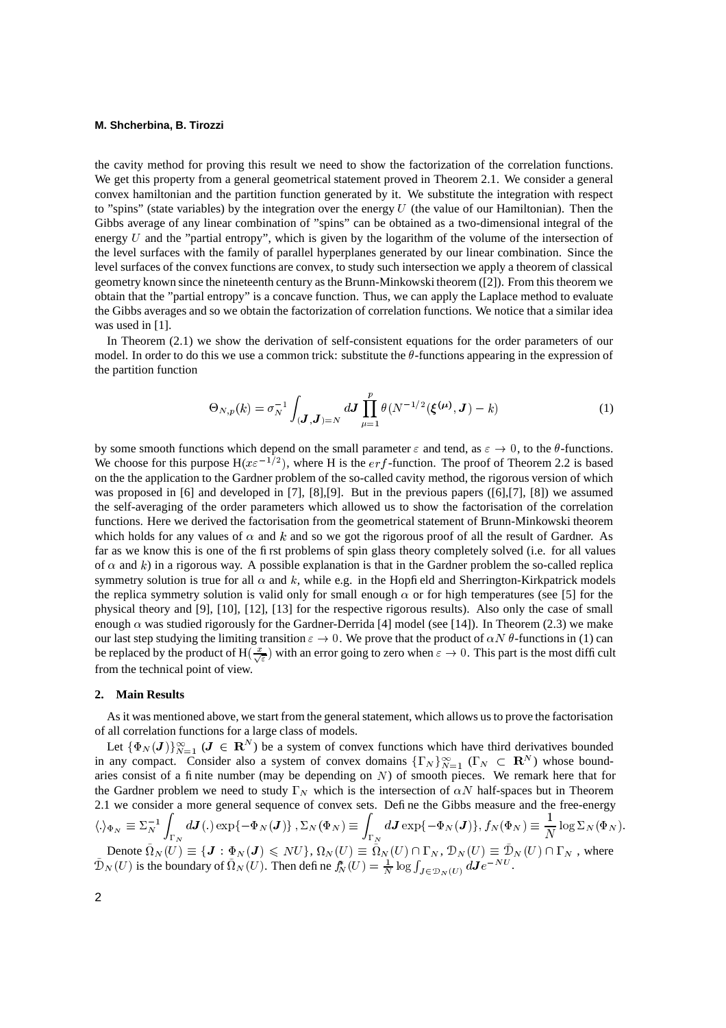# **M. Shcherbina, B. Tirozzi**

the cavity method for proving this result we need to show the factorization of the correlation functions. We get this property from a general geometrical statement proved in Theorem 2.1. We consider a general convex hamiltonian and the partition function generated by it. We substitute the integration with respect to "spins" (state variables) by the integration over the energy  $U$  (the value of our Hamiltonian). Then the Gibbs average of any linear combination of "spins" can be obtained as a two-dimensional integral of the energy  $U$  and the "partial entropy", which is given by the logarithm of the volume of the intersection of the level surfaces with the family of parallel hyperplanes generated by our linear combination. Since the level surfaces of the convex functions are convex, to study such intersection we apply a theorem of classical geometry known since the nineteenth century as the Brunn-Minkowski theorem ([2]). From this theorem we obtain that the "partial entropy" is a concave function. Thus, we can apply the Laplace method to evaluate the Gibbs averages and so we obtain the factorization of correlation functions. We notice that a similar idea was used in [1].

In Theorem (2.1) we show the derivation of self-consistent equations for the order parameters of our model. In order to do this we use a common trick: substitute the  $\theta$ -functions appearing in the expression of the partition function

$$
\Theta_{N,p}(k) = \sigma_N^{-1} \int_{(\mathbf{J},\mathbf{J})=N} d\mathbf{J} \prod_{\mu=1}^p \theta(N^{-1/2}(\xi^{(\mu)}, \mathbf{J}) - k)
$$
(1)

by some smooth functions which depend on the small parameter  $\varepsilon$  and tend, as  $\varepsilon \to 0$ , to the  $\theta$ -functions. We choose for this purpose  $H(x \varepsilon^{-1/2})$ , where H is the *erf*-function. The proof of Theorem 2.2 is based on the the application to the Gardner problem of the so-called cavity method, the rigorous version of which was proposed in [6] and developed in [7], [8],[9]. But in the previous papers ([6],[7], [8]) we assumed the self-averaging of the order parameters which allowed us to show the factorisation of the correlation functions. Here we derived the factorisation from the geometrical statement of Brunn-Minkowski theorem which holds for any values of  $\alpha$  and  $k$  and so we got the rigorous proof of all the result of Gardner. As far as we know this is one of the first problems of spin glass theory completely solved (i.e. for all values of  $\alpha$  and  $k$ ) in a rigorous way. A possible explanation is that in the Gardner problem the so-called replica symmetry solution is true for all  $\alpha$  and  $k$ , while e.g. in the Hopfield and Sherrington-Kirkpatrick models the replica symmetry solution is valid only for small enough  $\alpha$  or for high temperatures (see [5] for the physical theory and [9], [10], [12], [13] for the respective rigorous results). Also only the case of small enough  $\alpha$  was studied rigorously for the Gardner-Derrida [4] model (see [14]). In Theorem (2.3) we make our last step studying the limiting transition  $\varepsilon \to 0$ . We prove that the product of  $\alpha N \theta$ -functions in (1) can be replaced by the product of  $H(\frac{x}{\sqrt{\epsilon}})$  with an error going to zero when  $\epsilon \to 0$ . This part is the most difficult from the technical point of view.

#### **2. Main Results**

As it was mentioned above, we start from the general statement, which allows us to prove the factorisation of all correlation functions for a large class of models.

Let  $\{\Phi_N(\boldsymbol{J})\}_{N=1}^\infty$  ( $\boldsymbol{J} \in \mathbb{R}^N$ ) be a system of convex functions which have third derivatives bounded Let  $\{P_N(\mathbf{J})\}_{N=1}^{\infty}$  ( $\mathbf{J} \in \mathbf{R}^N$ ) be a system of convex functions which have time derivatives bound-<br>in any compact. Consider also a system of convex domains  $\{\Gamma_N\}_{N=1}^{\infty}$  ( $\Gamma_N \subset \mathbf{R}^N$ ) whose boundaries consist of a finite number (may be depending on  $N$ ) of smooth pieces. We remark here that for the Gardner problem we need to study  $\Gamma_N$  which is the intersection of  $\alpha N$  half-spaces but in Theorem 2.1 we consider a more general sequence of convex sets. Define the Gibbs measure and the free-energy  $\langle .\rangle_{\Phi_N} \equiv \Sigma_N^{-1}$  /  $d\bm{J} (.)$  ex **All Andrews Controllers**  $\big(\,.\big) \exp\{-\Phi_N(\boldsymbol{J})\}\, , \Sigma_N(\Phi_N) \equiv \int \ d\boldsymbol{J} \exp\{\,$  $d\bm{J} \exp\{-\Phi_N(\bm{J})\}, f_N(\Phi_N) \equiv \frac{1}{N} \log \Sigma_N$  $\frac{1}{N}\log \Sigma_N(\Phi_N)$ . Denote  $\tilde{\Omega}_N(U) \equiv \{ \mathbf{J} : \Phi_N(\mathbf{J}) \leqslant NU \}, \Omega_N(U) \equiv \tilde{\Omega}_N(U) \cap \Gamma_N, \mathcal{D}_N(U) \equiv \tilde{\mathcal{D}}_N(U) \cap \Gamma_N$ , where

Denote  $\Omega_N(U) \equiv \{ \mathbf{J} : \Phi_N(\mathbf{J}) \leqslant NU \}$ ,  $\Omega_N(U) \equiv \Omega_N(U) \cap \Gamma_N$ ,  $\mathcal{D}_N(U) \equiv \mathcal{D}_N(U) \cap \Gamma_N$ ,  $\mathcal{D}_N(U) \equiv \mathcal{D}_N(U) \cap \Gamma_N$ ,  $\mathcal{D}_N(U)$  is the boundary of  $\tilde{\Omega}_N(U)$ . Then define  $f_N^*(U) = \frac{1}{N} \log \int_{\mathbf{J} \in \mathcal{D}_N(U)} d\mathbf{$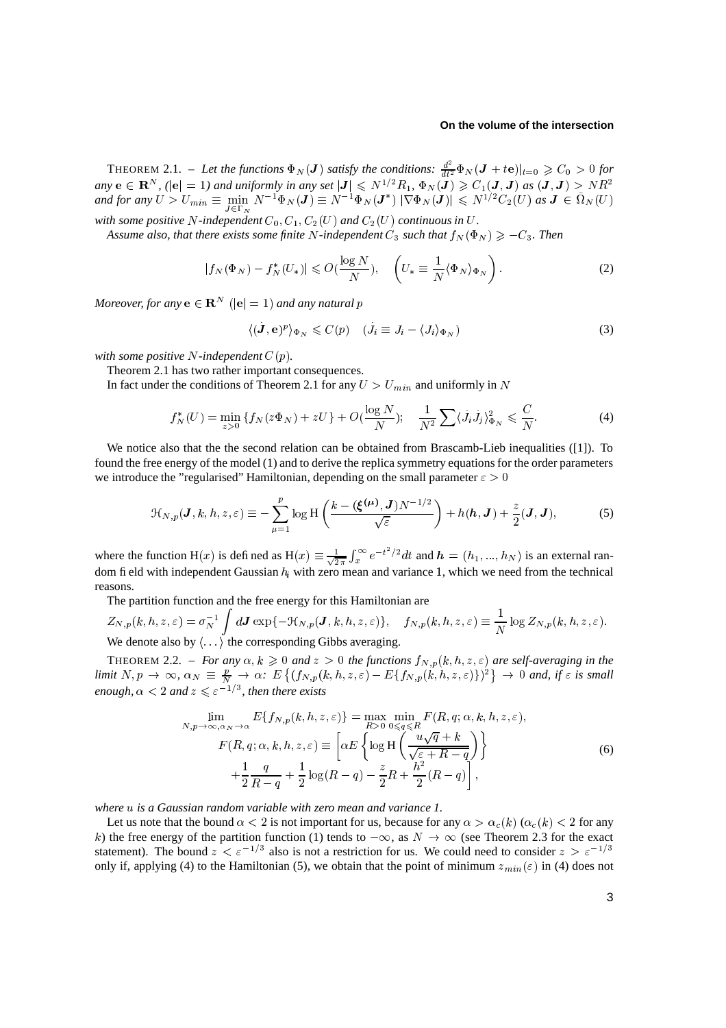# **On the volume of the intersection**

THEOREM 2.1. – Let the functions  $\Phi_N(\mathbf{J})$  satisfy the conditions:  $\frac{d^2}{dt^2}\Phi_N(\mathbf{J})$ . . . . THEOREM 2.1. – Let the functions  $\Phi_N(\mathbf{J})$  satisfy the conditions:  $\frac{d^2}{dt^2}\Phi_N(\mathbf{J} + te)|_{t=0} \geq C_0 > 0$  for any  $e \in \mathbb{R}^N$ ,  $(|e| = 1)$  and uniformly in any set  $|\mathbf{J}| \leq N^{1/2}R_1$ ,  $\Phi_N(\mathbf{J}) \geq C_1(\mathbf{J}, \mathbf{J})$  as  $\int_{t_1}^{t_2} \Phi_N(J) \geq C_1(J, J) \text{ as } (J, J) > NR^2$ *and for any*  $U > U_{min} \equiv \frac{1}{2}$  $\sim$  111.111.  $\lim_{\Delta} N^{-1} \Phi_N(\boldsymbol{J}) \equiv N^{-1} \Phi_N(\boldsymbol{J}^*) \; |\nabla \Phi_N(\boldsymbol{J})| \le N^{1/2} C_2(U) \; \text{as} \; \boldsymbol{J} \in \tilde{\Omega}_N(U)$ with some positive N-independent  $C_0$ ,  $C_1$ ,  $C_2(U)$  and  $C_2(U)$  continuous in U.

Assume also, that there exists some finite N-independent  $C_3$  such that  $f_N(\Phi_N) \geq -C_3$ . Then

$$
|f_N(\Phi_N) - f_N^*(U_*)| \le O(\frac{\log N}{N}), \quad \left(U_* \equiv \frac{1}{N} \langle \Phi_N \rangle_{\Phi_N}\right). \tag{2}
$$

*Moreover, for any*  $\mathbf{e} \in \mathbf{R}^{N}$  ( $|\mathbf{e}| = 1$ ) and any natural  $p$ 

$$
\langle (\dot{\boldsymbol{J}}, \mathbf{e})^p \rangle_{\Phi_N} \leqslant C(p) \quad (\dot{J}_i \equiv J_i - \langle J_i \rangle_{\Phi_N}) \tag{3}
$$

with some positive  $N$ -independent  $C(p)$ .

Theorem 2.1 has two rather important consequences.

In fact under the conditions of Theorem 2.1 for any  $U > U_{min}$  and uniformly in N

$$
f_N^*(U) = \min_{z>0} \{ f_N(z\Phi_N) + zU \} + O(\frac{\log N}{N}); \quad \frac{1}{N^2} \sum_i \langle j_i j_j \rangle_{\Phi_N}^2 \le \frac{C}{N}.
$$
 (4)

We notice also that the the second relation can be obtained from Brascamb-Lieb inequalities ([1]). To found the free energy of the model (1) and to derive the replica symmetry equations for the order parameters we introduce the "regularised" Hamiltonian, depending on the small parameter  $\varepsilon > 0$ 

$$
\mathcal{H}_{N,p}(\boldsymbol{J},k,h,z,\varepsilon) \equiv -\sum_{\mu=1}^{p} \log H\left(\frac{k - (\boldsymbol{\xi}^{(\mu)},\boldsymbol{J})N^{-1/2}}{\sqrt{\varepsilon}}\right) + h(\boldsymbol{h},\boldsymbol{J}) + \frac{z}{2}(\boldsymbol{J},\boldsymbol{J}),
$$
(5)

where the function H(x) is defined as H(x)  $\equiv \frac{1}{\sqrt{2}} \int_x^{\infty} e^{-t^2/2} dt$  and  $h = (h_1, ..., h_N)$  is an external random field with independent Gaussian  $h_i$  with zero mean and variance 1, which we need from the technical reasons.

The partition function and the free energy for this Hamiltonian are

$$
Z_{N,p}(k, h, z, \varepsilon) = \sigma_N^{-1} \int d\mathbf{J} \exp\{-\mathcal{H}_{N,p}(\mathbf{J}, k, h, z, \varepsilon)\}, \quad f_{N,p}(k, h, z, \varepsilon) \equiv \frac{1}{N} \log Z_{N,p}(k, h, z, \varepsilon).
$$
\nWe denote also by  $\langle \rangle$ , the corresponding Gibbs averaging.

We denote also by  $\langle \cdot \cdot \cdot \rangle$  the corresponding Gibbs averaging.

THEOREM 2.2. – *For any*  $\alpha, k \geq 0$  and  $z > 0$  the functions  $f_{N,p}(k, h, z, \varepsilon)$  are self-averaging in the *limit*  $N, p \to \infty$ ,  $\alpha_N \equiv \frac{p}{N} \to \alpha$ :  $E\left\{ (f_{N,p}(k, h, z, \varepsilon) - E\{f_{N,p}(k, h, z, \varepsilon)\}^2 \right\} \to 0$  and, if  $\varepsilon$  is small  $\lim_{n \to \infty} \frac{1}{n} \sum_{n=0}^{\infty} \frac{1}{n} \sum_{n=0}^{\infty} \frac{1}{n} \sum_{n=0}^{\infty} \frac{1}{n} \sum_{n=0}^{\infty} \frac{1}{n} \sum_{n=0}^{\infty} \frac{1}{n} \sum_{n=0}^{\infty} \frac{1}{n} \sum_{n=0}^{\infty} \frac{1}{n} \sum_{n=0}^{\infty} \frac{1}{n} \sum_{n=0}^{\infty} \frac{1}{n} \sum_{n=0}^{\infty} \frac{1}{n} \sum_{n=0}^{\infty} \$ 

$$
\lim_{N,p \to \infty, \alpha_N \to \alpha} E\{f_{N,p}(k, h, z, \varepsilon)\} = \max_{R > 0} \min_{0 \le q \le R} F(R, q; \alpha, k, h, z, \varepsilon),
$$
\n
$$
F(R, q; \alpha, k, h, z, \varepsilon) \equiv \left[ \alpha E \left\{ \log H \left( \frac{u\sqrt{q} + k}{\sqrt{\varepsilon + R - q}} \right) \right\} + \frac{1}{2} \frac{q}{R - q} + \frac{1}{2} \log(R - q) - \frac{z}{2}R + \frac{h^2}{2}(R - q) \right],
$$
\n(6)

*where*  $u$  *is a Gaussian random variable with zero mean and variance* 1.

Let us note that the bound  $\alpha < 2$  is not important for us, because for any  $\alpha > \alpha_c(k)$  ( $\alpha_c(k) < 2$  for any k) the free energy of the partition function (1) tends to  $-\infty$ , as  $N \to \infty$  (see Theorem 2.3 for the exact statement). The bound  $z < \varepsilon^{-1/3}$  also is not a restriction for us. We could need to consider  $z > \varepsilon^{-1/3}$ only if, applying (4) to the Hamiltonian (5), we obtain that the point of minimum  $z_{min}(\varepsilon)$  in (4) does not